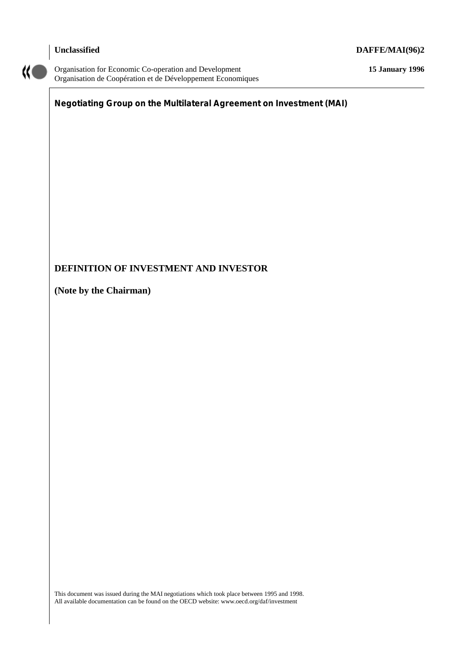# **Unclassified DAFFE/MAI(96)2**



Organisation for Economic Co-operation and Development **15 January 1996** Organisation de Coopération et de Développement Economiques

# **Negotiating Group on the Multilateral Agreement on Investment (MAI)**

# **DEFINITION OF INVESTMENT AND INVESTOR**

**(Note by the Chairman)**

This document was issued during the MAI negotiations which took place between 1995 and 1998. All available documentation can be found on the OECD website: www.oecd.org/daf/investment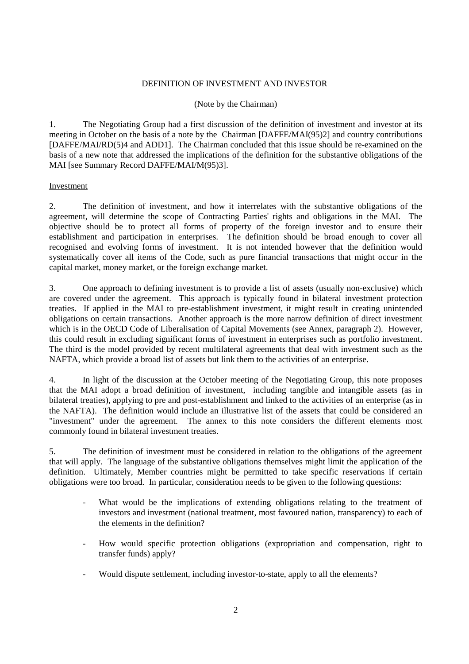#### DEFINITION OF INVESTMENT AND INVESTOR

#### (Note by the Chairman)

1. The Negotiating Group had a first discussion of the definition of investment and investor at its meeting in October on the basis of a note by the Chairman [DAFFE/MAI(95)2] and country contributions [DAFFE/MAI/RD(5)4 and ADD1]. The Chairman concluded that this issue should be re-examined on the basis of a new note that addressed the implications of the definition for the substantive obligations of the MAI [see Summary Record DAFFE/MAI/M(95)3].

#### Investment

2. The definition of investment, and how it interrelates with the substantive obligations of the agreement, will determine the scope of Contracting Parties' rights and obligations in the MAI. The objective should be to protect all forms of property of the foreign investor and to ensure their establishment and participation in enterprises. The definition should be broad enough to cover all recognised and evolving forms of investment. It is not intended however that the definition would systematically cover all items of the Code, such as pure financial transactions that might occur in the capital market, money market, or the foreign exchange market.

3. One approach to defining investment is to provide a list of assets (usually non-exclusive) which are covered under the agreement. This approach is typically found in bilateral investment protection treaties. If applied in the MAI to pre-establishment investment, it might result in creating unintended obligations on certain transactions. Another approach is the more narrow definition of direct investment which is in the OECD Code of Liberalisation of Capital Movements (see Annex, paragraph 2). However, this could result in excluding significant forms of investment in enterprises such as portfolio investment. The third is the model provided by recent multilateral agreements that deal with investment such as the NAFTA, which provide a broad list of assets but link them to the activities of an enterprise.

4. In light of the discussion at the October meeting of the Negotiating Group, this note proposes that the MAI adopt a broad definition of investment, including tangible and intangible assets (as in bilateral treaties), applying to pre and post-establishment and linked to the activities of an enterprise (as in the NAFTA). The definition would include an illustrative list of the assets that could be considered an "investment" under the agreement. The annex to this note considers the different elements most commonly found in bilateral investment treaties.

5. The definition of investment must be considered in relation to the obligations of the agreement that will apply. The language of the substantive obligations themselves might limit the application of the definition. Ultimately, Member countries might be permitted to take specific reservations if certain obligations were too broad. In particular, consideration needs to be given to the following questions:

- What would be the implications of extending obligations relating to the treatment of investors and investment (national treatment, most favoured nation, transparency) to each of the elements in the definition?
- How would specific protection obligations (expropriation and compensation, right to transfer funds) apply?
- Would dispute settlement, including investor-to-state, apply to all the elements?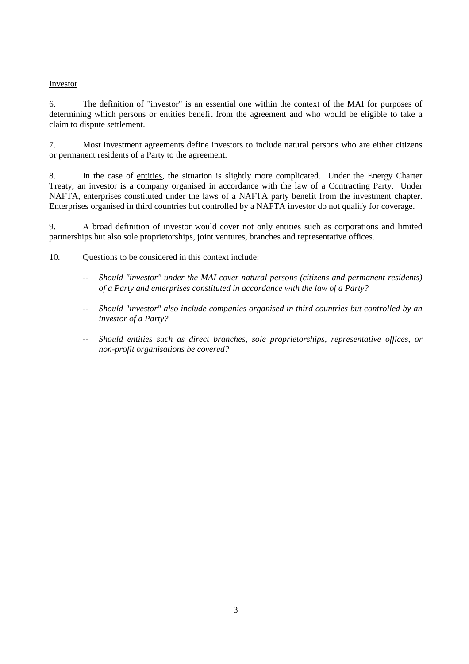#### Investor

6. The definition of "investor" is an essential one within the context of the MAI for purposes of determining which persons or entities benefit from the agreement and who would be eligible to take a claim to dispute settlement.

7. Most investment agreements define investors to include natural persons who are either citizens or permanent residents of a Party to the agreement.

8. In the case of entities, the situation is slightly more complicated. Under the Energy Charter Treaty, an investor is a company organised in accordance with the law of a Contracting Party. Under NAFTA, enterprises constituted under the laws of a NAFTA party benefit from the investment chapter. Enterprises organised in third countries but controlled by a NAFTA investor do not qualify for coverage.

9. A broad definition of investor would cover not only entities such as corporations and limited partnerships but also sole proprietorships, joint ventures, branches and representative offices.

- 10. Questions to be considered in this context include:
	- *-- Should "investor" under the MAI cover natural persons (citizens and permanent residents) of a Party and enterprises constituted in accordance with the law of a Party?*
	- *-- Should "investor" also include companies organised in third countries but controlled by an investor of a Party?*
	- *-- Should entities such as direct branches, sole proprietorships, representative offices, or non-profit organisations be covered?*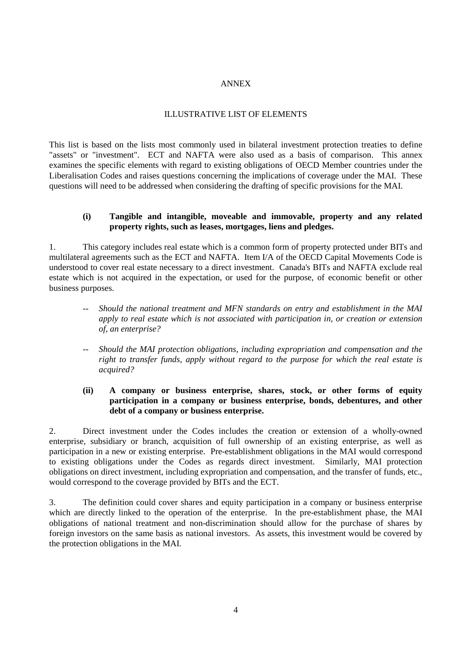#### ANNEX

#### ILLUSTRATIVE LIST OF ELEMENTS

This list is based on the lists most commonly used in bilateral investment protection treaties to define "assets" or "investment". ECT and NAFTA were also used as a basis of comparison. This annex examines the specific elements with regard to existing obligations of OECD Member countries under the Liberalisation Codes and raises questions concerning the implications of coverage under the MAI. These questions will need to be addressed when considering the drafting of specific provisions for the MAI.

#### **(i) Tangible and intangible, moveable and immovable, property and any related property rights, such as leases, mortgages, liens and pledges.**

1. This category includes real estate which is a common form of property protected under BITs and multilateral agreements such as the ECT and NAFTA. Item I/A of the OECD Capital Movements Code is understood to cover real estate necessary to a direct investment. Canada's BITs and NAFTA exclude real estate which is not acquired in the expectation, or used for the purpose, of economic benefit or other business purposes.

- *-- Should the national treatment and MFN standards on entry and establishment in the MAI apply to real estate which is not associated with participation in, or creation or extension of, an enterprise?*
- *-- Should the MAI protection obligations, including expropriation and compensation and the right to transfer funds, apply without regard to the purpose for which the real estate is acquired?*

## **(ii) A company or business enterprise, shares, stock, or other forms of equity participation in a company or business enterprise, bonds, debentures, and other debt of a company or business enterprise.**

2. Direct investment under the Codes includes the creation or extension of a wholly-owned enterprise, subsidiary or branch, acquisition of full ownership of an existing enterprise, as well as participation in a new or existing enterprise. Pre-establishment obligations in the MAI would correspond to existing obligations under the Codes as regards direct investment. Similarly, MAI protection obligations on direct investment, including expropriation and compensation, and the transfer of funds, etc., would correspond to the coverage provided by BITs and the ECT.

3. The definition could cover shares and equity participation in a company or business enterprise which are directly linked to the operation of the enterprise. In the pre-establishment phase, the MAI obligations of national treatment and non-discrimination should allow for the purchase of shares by foreign investors on the same basis as national investors. As assets, this investment would be covered by the protection obligations in the MAI.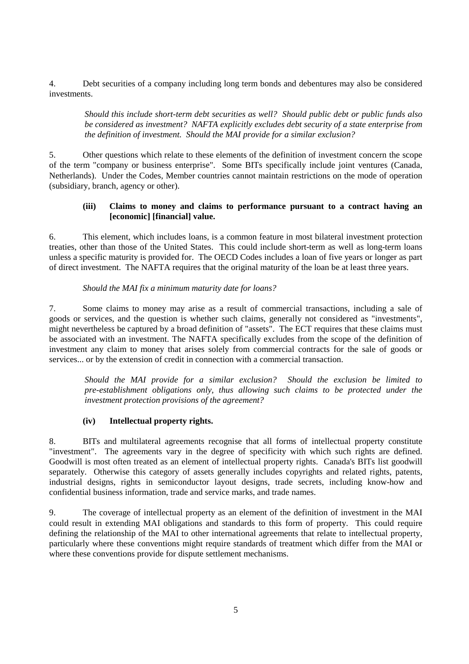4. Debt securities of a company including long term bonds and debentures may also be considered investments.

*Should this include short-term debt securities as well? Should public debt or public funds also be considered as investment? NAFTA explicitly excludes debt security of a state enterprise from the definition of investment. Should the MAI provide for a similar exclusion?*

5. Other questions which relate to these elements of the definition of investment concern the scope of the term "company or business enterprise". Some BITs specifically include joint ventures (Canada, Netherlands). Under the Codes, Member countries cannot maintain restrictions on the mode of operation (subsidiary, branch, agency or other).

#### **(iii) Claims to money and claims to performance pursuant to a contract having an [economic] [financial] value.**

6. This element, which includes loans, is a common feature in most bilateral investment protection treaties, other than those of the United States. This could include short-term as well as long-term loans unless a specific maturity is provided for. The OECD Codes includes a loan of five years or longer as part of direct investment. The NAFTA requires that the original maturity of the loan be at least three years.

#### *Should the MAI fix a minimum maturity date for loans?*

7. Some claims to money may arise as a result of commercial transactions, including a sale of goods or services, and the question is whether such claims, generally not considered as "investments", might nevertheless be captured by a broad definition of "assets". The ECT requires that these claims must be associated with an investment. The NAFTA specifically excludes from the scope of the definition of investment any claim to money that arises solely from commercial contracts for the sale of goods or services... or by the extension of credit in connection with a commercial transaction.

*Should the MAI provide for a similar exclusion? Should the exclusion be limited to pre-establishment obligations only, thus allowing such claims to be protected under the investment protection provisions of the agreement?*

# **(iv) Intellectual property rights.**

8. BITs and multilateral agreements recognise that all forms of intellectual property constitute "investment". The agreements vary in the degree of specificity with which such rights are defined. Goodwill is most often treated as an element of intellectual property rights. Canada's BITs list goodwill separately. Otherwise this category of assets generally includes copyrights and related rights, patents, industrial designs, rights in semiconductor layout designs, trade secrets, including know-how and confidential business information, trade and service marks, and trade names.

9. The coverage of intellectual property as an element of the definition of investment in the MAI could result in extending MAI obligations and standards to this form of property. This could require defining the relationship of the MAI to other international agreements that relate to intellectual property, particularly where these conventions might require standards of treatment which differ from the MAI or where these conventions provide for dispute settlement mechanisms.